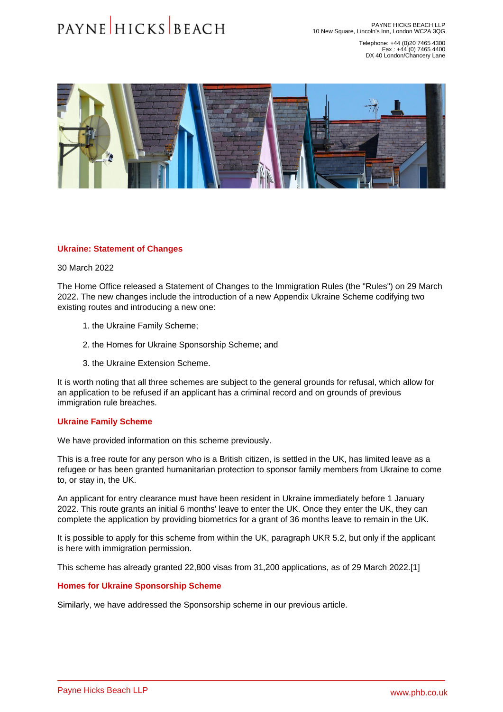Telephone: +44 (0)20 7465 4300 Fax : +44 (0) 7465 4400 DX 40 London/Chancery Lane

### <span id="page-0-0"></span>Ukraine: Statement of Changes

#### 30 March 2022

The Home Office released a Statement of Changes to the Immigration Rules (the "Rules") on 29 March 2022. The new changes include the introduction of a new Appendix Ukraine Scheme codifying two existing routes and introducing a new one:

- 1. the Ukraine Family Scheme;
- 2. the Homes for Ukraine Sponsorship Scheme; and
- 3. the Ukraine Extension Scheme.

It is worth noting that all three schemes are subject to the general grounds for refusal, which allow for an application to be refused if an applicant has a criminal record and on grounds of previous immigration rule breaches.

### Ukraine Family Scheme

We have provided information on this [scheme previously.](�� h t t p s : / / w w w . p h b . c o . u k / l e g a l - u p d a t e s / u k r a i n e - r e f u g e - i n - t h e - u k)

This is a free route for any person who is a British citizen, is settled in the UK, has limited leave as a refugee or has been granted humanitarian protection to sponsor family members from Ukraine to come to, or stay in, the UK.

An applicant for entry clearance must have been resident in Ukraine immediately before 1 January 2022. This route grants an initial 6 months' leave to enter the UK. Once they enter the UK, they can complete the application by providing biometrics for a grant of 36 months leave to remain in the UK.

It is possible to apply for this scheme from within the UK, paragraph UKR 5.2, but only if the applicant is here with immigration permission.

This scheme has already granted 22,800 visas from 31,200 applications, as of 29 March 2022.[1]

# Homes for Ukraine Sponsorship Scheme

Similarly, we have addressed the [Sponsorship scheme in our previous article.](�� h t t p s : / / w w w . p h b . c o . u k / l e g a l - u p d a t e s / u k r a i n e - s p o n s o r s h i p - s c h e m e)